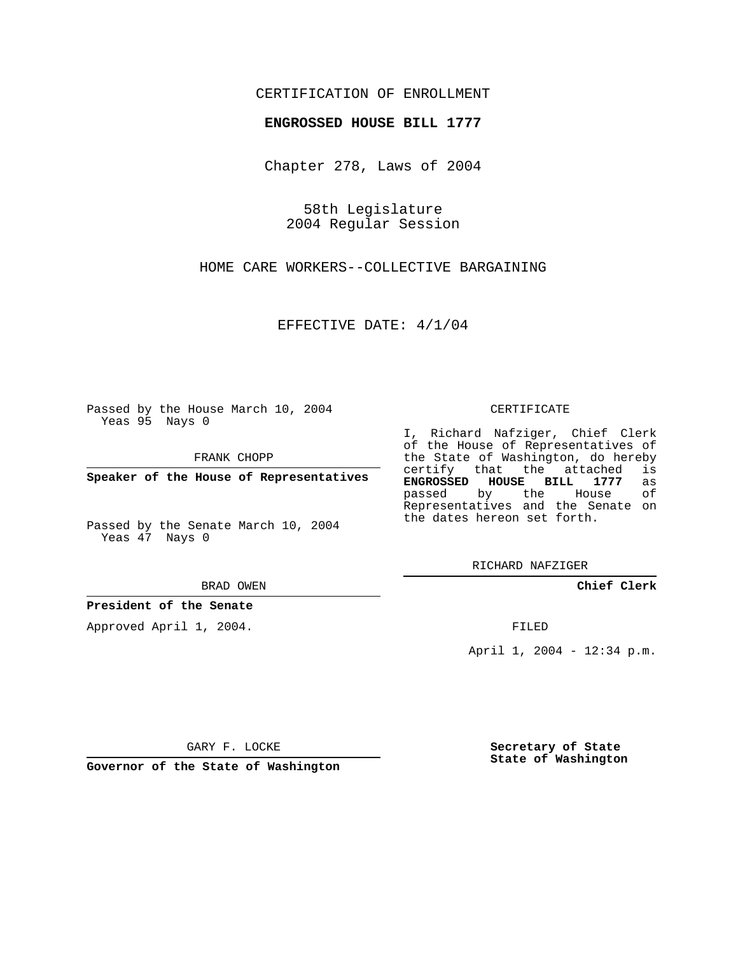## CERTIFICATION OF ENROLLMENT

### **ENGROSSED HOUSE BILL 1777**

Chapter 278, Laws of 2004

58th Legislature 2004 Regular Session

HOME CARE WORKERS--COLLECTIVE BARGAINING

EFFECTIVE DATE: 4/1/04

Passed by the House March 10, 2004 Yeas 95 Nays 0

FRANK CHOPP

**Speaker of the House of Representatives**

Passed by the Senate March 10, 2004 Yeas 47 Nays 0

BRAD OWEN

**President of the Senate**

Approved April 1, 2004.

#### CERTIFICATE

I, Richard Nafziger, Chief Clerk of the House of Representatives of the State of Washington, do hereby<br>certify that the attached is certify that the attached **ENGROSSED HOUSE BILL 1777** as passed by the House Representatives and the Senate on the dates hereon set forth.

RICHARD NAFZIGER

**Chief Clerk**

FILED

April 1, 2004 - 12:34 p.m.

GARY F. LOCKE

**Governor of the State of Washington**

**Secretary of State State of Washington**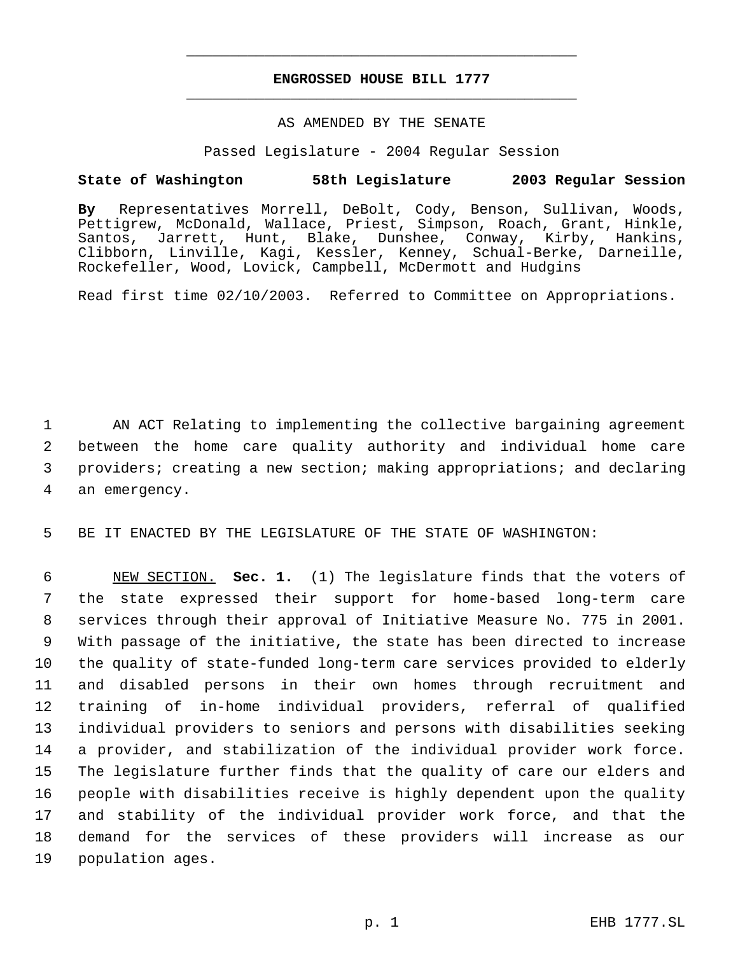# **ENGROSSED HOUSE BILL 1777** \_\_\_\_\_\_\_\_\_\_\_\_\_\_\_\_\_\_\_\_\_\_\_\_\_\_\_\_\_\_\_\_\_\_\_\_\_\_\_\_\_\_\_\_\_

\_\_\_\_\_\_\_\_\_\_\_\_\_\_\_\_\_\_\_\_\_\_\_\_\_\_\_\_\_\_\_\_\_\_\_\_\_\_\_\_\_\_\_\_\_

## AS AMENDED BY THE SENATE

Passed Legislature - 2004 Regular Session

## **State of Washington 58th Legislature 2003 Regular Session**

**By** Representatives Morrell, DeBolt, Cody, Benson, Sullivan, Woods, Pettigrew, McDonald, Wallace, Priest, Simpson, Roach, Grant, Hinkle, Santos, Jarrett, Hunt, Blake, Dunshee, Conway, Kirby, Hankins, Clibborn, Linville, Kagi, Kessler, Kenney, Schual-Berke, Darneille, Rockefeller, Wood, Lovick, Campbell, McDermott and Hudgins

Read first time 02/10/2003. Referred to Committee on Appropriations.

 AN ACT Relating to implementing the collective bargaining agreement between the home care quality authority and individual home care providers; creating a new section; making appropriations; and declaring an emergency.

5 BE IT ENACTED BY THE LEGISLATURE OF THE STATE OF WASHINGTON:

 NEW SECTION. **Sec. 1.** (1) The legislature finds that the voters of the state expressed their support for home-based long-term care services through their approval of Initiative Measure No. 775 in 2001. With passage of the initiative, the state has been directed to increase the quality of state-funded long-term care services provided to elderly and disabled persons in their own homes through recruitment and training of in-home individual providers, referral of qualified individual providers to seniors and persons with disabilities seeking a provider, and stabilization of the individual provider work force. The legislature further finds that the quality of care our elders and people with disabilities receive is highly dependent upon the quality and stability of the individual provider work force, and that the demand for the services of these providers will increase as our population ages.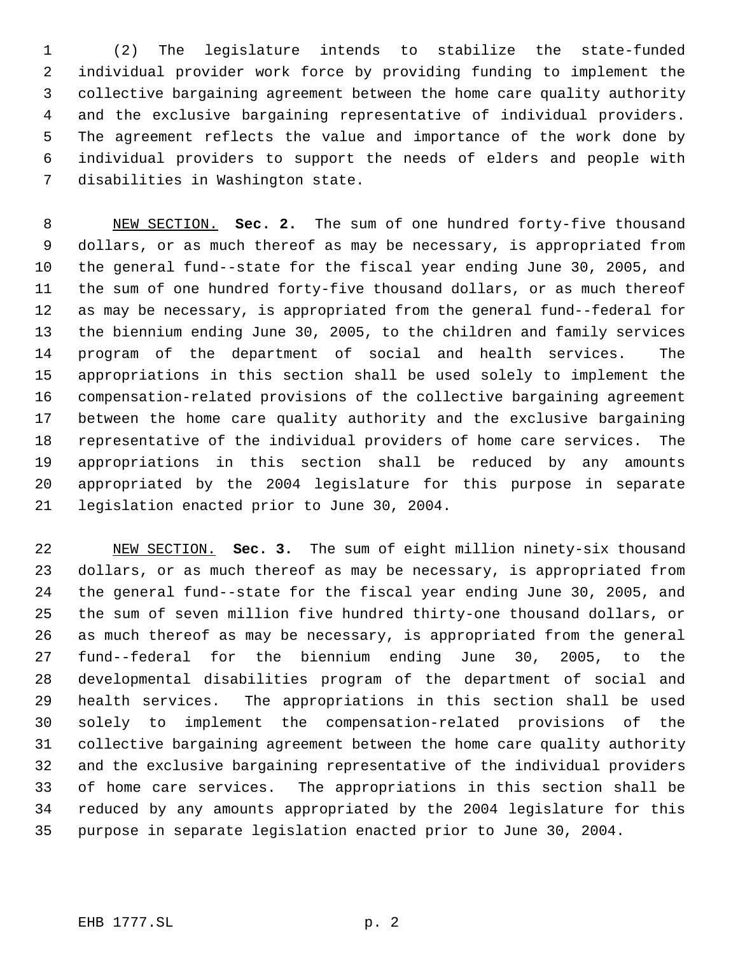(2) The legislature intends to stabilize the state-funded individual provider work force by providing funding to implement the collective bargaining agreement between the home care quality authority and the exclusive bargaining representative of individual providers. The agreement reflects the value and importance of the work done by individual providers to support the needs of elders and people with disabilities in Washington state.

 NEW SECTION. **Sec. 2.** The sum of one hundred forty-five thousand dollars, or as much thereof as may be necessary, is appropriated from the general fund--state for the fiscal year ending June 30, 2005, and the sum of one hundred forty-five thousand dollars, or as much thereof as may be necessary, is appropriated from the general fund--federal for the biennium ending June 30, 2005, to the children and family services program of the department of social and health services. The appropriations in this section shall be used solely to implement the compensation-related provisions of the collective bargaining agreement between the home care quality authority and the exclusive bargaining representative of the individual providers of home care services. The appropriations in this section shall be reduced by any amounts appropriated by the 2004 legislature for this purpose in separate legislation enacted prior to June 30, 2004.

 NEW SECTION. **Sec. 3.** The sum of eight million ninety-six thousand dollars, or as much thereof as may be necessary, is appropriated from the general fund--state for the fiscal year ending June 30, 2005, and the sum of seven million five hundred thirty-one thousand dollars, or as much thereof as may be necessary, is appropriated from the general fund--federal for the biennium ending June 30, 2005, to the developmental disabilities program of the department of social and health services. The appropriations in this section shall be used solely to implement the compensation-related provisions of the collective bargaining agreement between the home care quality authority and the exclusive bargaining representative of the individual providers of home care services. The appropriations in this section shall be reduced by any amounts appropriated by the 2004 legislature for this purpose in separate legislation enacted prior to June 30, 2004.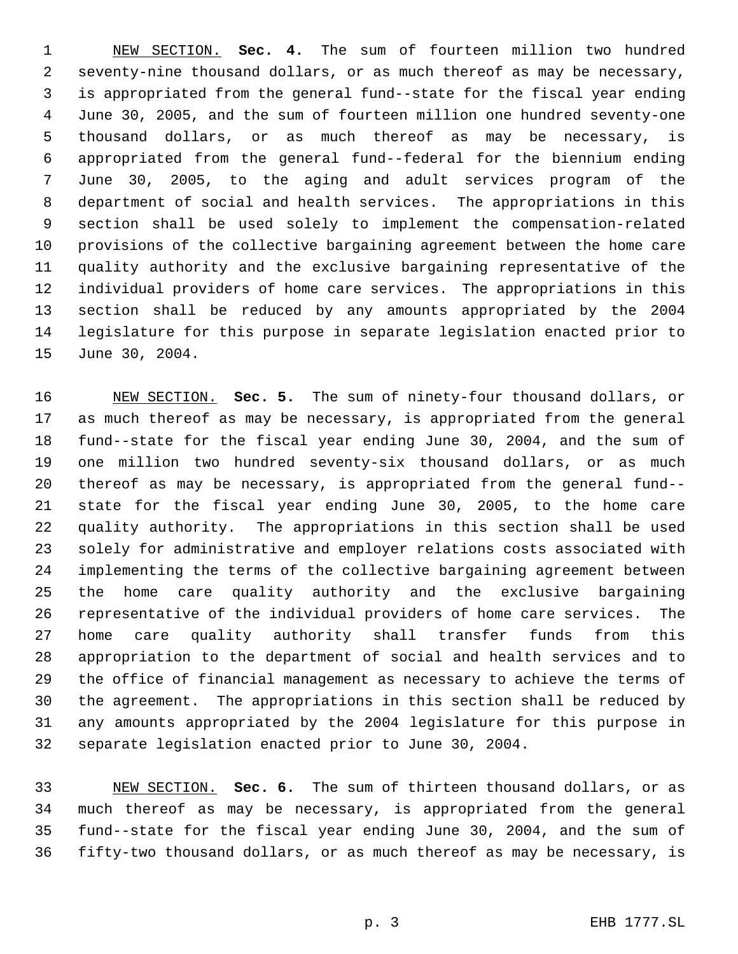NEW SECTION. **Sec. 4.** The sum of fourteen million two hundred seventy-nine thousand dollars, or as much thereof as may be necessary, is appropriated from the general fund--state for the fiscal year ending June 30, 2005, and the sum of fourteen million one hundred seventy-one thousand dollars, or as much thereof as may be necessary, is appropriated from the general fund--federal for the biennium ending June 30, 2005, to the aging and adult services program of the department of social and health services. The appropriations in this section shall be used solely to implement the compensation-related provisions of the collective bargaining agreement between the home care quality authority and the exclusive bargaining representative of the individual providers of home care services. The appropriations in this section shall be reduced by any amounts appropriated by the 2004 legislature for this purpose in separate legislation enacted prior to June 30, 2004.

 NEW SECTION. **Sec. 5.** The sum of ninety-four thousand dollars, or as much thereof as may be necessary, is appropriated from the general fund--state for the fiscal year ending June 30, 2004, and the sum of one million two hundred seventy-six thousand dollars, or as much thereof as may be necessary, is appropriated from the general fund-- state for the fiscal year ending June 30, 2005, to the home care quality authority. The appropriations in this section shall be used solely for administrative and employer relations costs associated with implementing the terms of the collective bargaining agreement between the home care quality authority and the exclusive bargaining representative of the individual providers of home care services. The home care quality authority shall transfer funds from this appropriation to the department of social and health services and to the office of financial management as necessary to achieve the terms of the agreement. The appropriations in this section shall be reduced by any amounts appropriated by the 2004 legislature for this purpose in separate legislation enacted prior to June 30, 2004.

 NEW SECTION. **Sec. 6.** The sum of thirteen thousand dollars, or as much thereof as may be necessary, is appropriated from the general fund--state for the fiscal year ending June 30, 2004, and the sum of fifty-two thousand dollars, or as much thereof as may be necessary, is